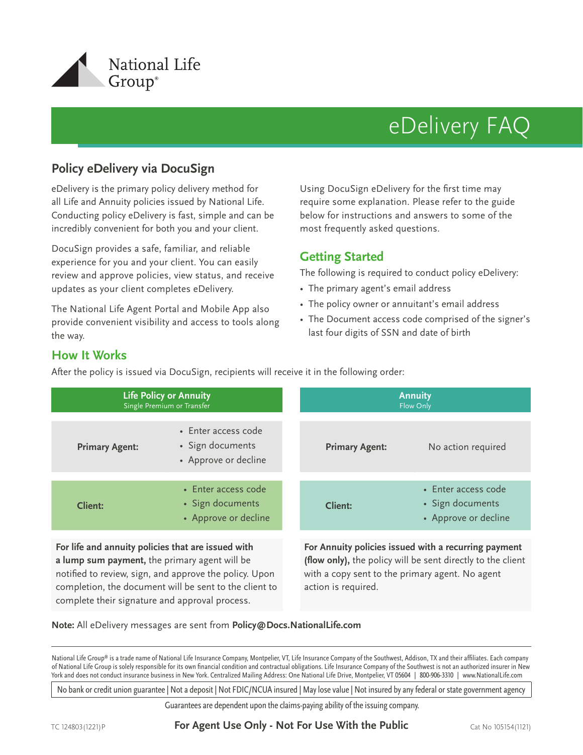

# eDelivery FAQ

# **Policy eDelivery via DocuSign**

eDelivery is the primary policy delivery method for all Life and Annuity policies issued by National Life. Conducting policy eDelivery is fast, simple and can be incredibly convenient for both you and your client.

DocuSign provides a safe, familiar, and reliable experience for you and your client. You can easily review and approve policies, view status, and receive updates as your client completes eDelivery.

The National Life Agent Portal and Mobile App also provide convenient visibility and access to tools along the way.

Using DocuSign eDelivery for the first time may require some explanation. Please refer to the guide below for instructions and answers to some of the most frequently asked questions.

# **Getting Started**

The following is required to conduct policy eDelivery:

- The primary agent's email address
- The policy owner or annuitant's email address
- The Document access code comprised of the signer's last four digits of SSN and date of birth

### **How It Works**

**Life Policy or Annuity** Single Premium or Transfer **Annuity** Flow Only **Primary Agent:** • Enter access code • Sign documents • Approve or decline **Primary Agent:** No action required **Client:** • Enter access code • Sign documents • Approve or decline **Client:** • Enter access code • Sign documents • Approve or decline **For life and annuity policies that are issued with For Annuity policies issued with a recurring payment** 

After the policy is issued via DocuSign, recipients will receive it in the following order:

**a lump sum payment,** the primary agent will be notified to review, sign, and approve the policy. Upon completion, the document will be sent to the client to complete their signature and approval process.

(flow only), the policy will be sent directly to the client with a copy sent to the primary agent. No agent action is required.

**Note:** All eDelivery messages are sent from **Policy@Docs.NationalLife.com**

National Life Group® is a trade name of National Life Insurance Company, Montpelier, VT, Life Insurance Company of the Southwest, Addison, TX and their affiliates. Each company of National Life Group is solely responsible for its own fi nancial condition and contractual obligations. Life Insurance Company of the Southwest is not an authorized insurer in New York and does not conduct insurance business in New York. Centralized Mailing Address: One National Life Drive, Montpelier, VT 05604 | 800-906-3310 | www.NationalLife.com

No bank or credit union guarantee | Not a deposit | Not FDIC/NCUA insured | May lose value | Not insured by any federal or state government agency

Guarantees are dependent upon the claims-paying ability of the issuing company.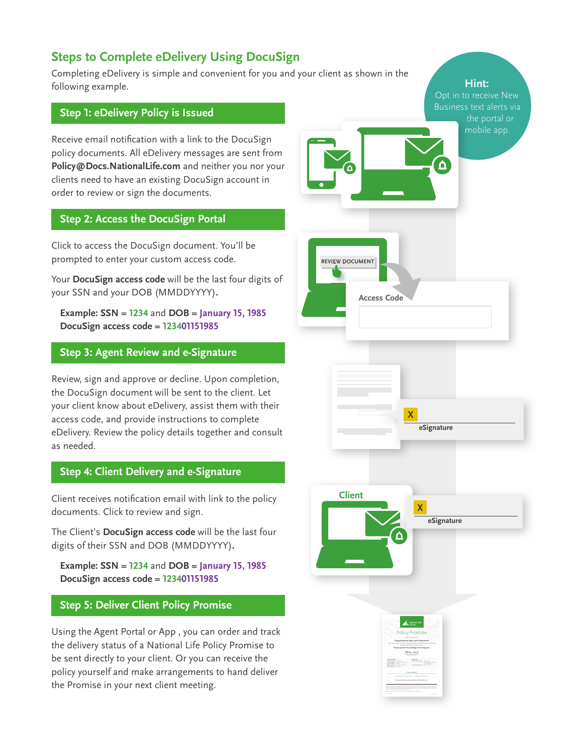# **Steps to Complete eDelivery Using DocuSign**

Completing eDelivery is simple and convenient for you and your client as shown in the following example.

#### **Step 1: eDelivery Policy is Issued**

Receive email notification with a link to the DocuSign policy documents. All eDelivery messages are sent from **Policy@Docs.NationalLife.com** and neither you nor your clients need to have an existing DocuSign account in order to review or sign the documents.

#### **Step 2: Access the DocuSign Portal**

Click to access the DocuSign document. You'll be prompted to enter your custom access code.

Your **DocuSign access code** will be the last four digits of your SSN and your DOB (MMDDYYYY)**.**

**Example: SSN = 1234** and **DOB = January 15, 1985 DocuSign access code = 123401151985**

#### **Step 3: Agent Review and e-Signature**

Review, sign and approve or decline. Upon completion, the DocuSign document will be sent to the client. Let your client know about eDelivery, assist them with their access code, and provide instructions to complete eDelivery. Review the policy details together and consult as needed.

#### **Step 4: Client Delivery and e-Signature**

Client receives notification email with link to the policy documents. Click to review and sign.

The Client's **DocuSign access code** will be the last four digits of their SSN and DOB (MMDDYYYY)**.**

**Example: SSN = 1234** and **DOB = January 15, 1985 DocuSign access code = 123401151985**

#### **Step 5: Deliver Client Policy Promise**

Using the Agent Portal or App , you can order and track the delivery status of a National Life Policy Promise to be sent directly to your client. Or you can receive the policy yourself and make arrangements to hand deliver the Promise in your next client meeting.

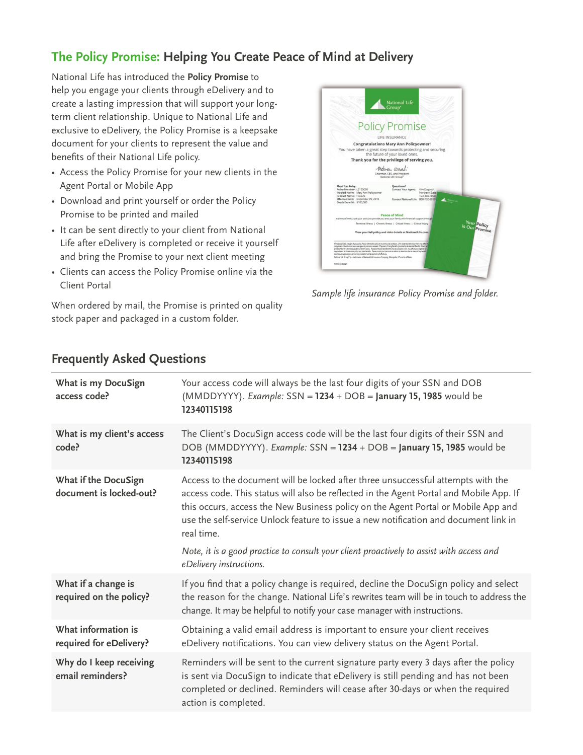# **The Policy Promise: Helping You Create Peace of Mind at Delivery**

National Life has introduced the **Policy Promise** to help you engage your clients through eDelivery and to create a lasting impression that will support your longterm client relationship. Unique to National Life and exclusive to eDelivery, the Policy Promise is a keepsake document for your clients to represent the value and benefits of their National Life policy.

- Access the Policy Promise for your new clients in the Agent Portal or Mobile App
- Download and print yourself or order the Policy Promise to be printed and mailed
- It can be sent directly to your client from National Life after eDelivery is completed or receive it yourself and bring the Promise to your next client meeting
- Clients can access the Policy Promise online via the Client Portal

When ordered by mail, the Promise is printed on quality stock paper and packaged in a custom folder.



*Sample life insurance Policy Promise and folder.*

| What is my DocuSign<br>access code?             | Your access code will always be the last four digits of your SSN and DOB<br>$(MMDDYYYY)$ . Example: SSN = 1234 + DOB = January 15, 1985 would be<br>12340115198                                                                                                                                                                                                       |
|-------------------------------------------------|-----------------------------------------------------------------------------------------------------------------------------------------------------------------------------------------------------------------------------------------------------------------------------------------------------------------------------------------------------------------------|
| What is my client's access<br>code?             | The Client's DocuSign access code will be the last four digits of their SSN and<br>DOB (MMDDYYYY). Example: SSN = 1234 + DOB = January 15, 1985 would be<br>12340115198                                                                                                                                                                                               |
| What if the DocuSign<br>document is locked-out? | Access to the document will be locked after three unsuccessful attempts with the<br>access code. This status will also be reflected in the Agent Portal and Mobile App. If<br>this occurs, access the New Business policy on the Agent Portal or Mobile App and<br>use the self-service Unlock feature to issue a new notification and document link in<br>real time. |
|                                                 | Note, it is a good practice to consult your client proactively to assist with access and<br>eDelivery instructions.                                                                                                                                                                                                                                                   |
| What if a change is<br>required on the policy?  | If you find that a policy change is required, decline the DocuSign policy and select<br>the reason for the change. National Life's rewrites team will be in touch to address the<br>change. It may be helpful to notify your case manager with instructions.                                                                                                          |
| What information is<br>required for eDelivery?  | Obtaining a valid email address is important to ensure your client receives<br>eDelivery notifications. You can view delivery status on the Agent Portal.                                                                                                                                                                                                             |
| Why do I keep receiving<br>email reminders?     | Reminders will be sent to the current signature party every 3 days after the policy<br>is sent via DocuSign to indicate that eDelivery is still pending and has not been<br>completed or declined. Reminders will cease after 30-days or when the required<br>action is completed.                                                                                    |

# **Frequently Asked Questions**